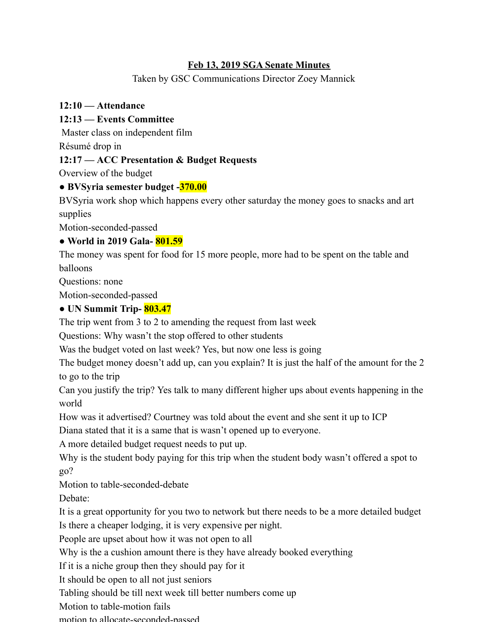#### **Feb 13, 2019 SGA Senate Minutes**

Taken by GSC Communications Director Zoey Mannick

#### **12:10 — Attendance**

#### **12:13 — Events Committee**

Master class on independent film

Résumé drop in

# **12:17 — ACC Presentation & Budget Requests**

Overview of the budget

# **● BVSyria semester budget -370.00**

BVSyria work shop which happens every other saturday the money goes to snacks and art supplies

Motion-seconded-passed

# **● World in 2019 Gala- 801.59**

The money was spent for food for 15 more people, more had to be spent on the table and balloons

Questions: none

Motion-seconded-passed

# **● UN Summit Trip- 803.47**

The trip went from 3 to 2 to amending the request from last week

Questions: Why wasn't the stop offered to other students

Was the budget voted on last week? Yes, but now one less is going

The budget money doesn't add up, can you explain? It is just the half of the amount for the 2 to go to the trip

Can you justify the trip? Yes talk to many different higher ups about events happening in the world

How was it advertised? Courtney was told about the event and she sent it up to ICP

Diana stated that it is a same that is wasn't opened up to everyone.

A more detailed budget request needs to put up.

Why is the student body paying for this trip when the student body wasn't offered a spot to go?

Motion to table-seconded-debate

Debate:

It is a great opportunity for you two to network but there needs to be a more detailed budget Is there a cheaper lodging, it is very expensive per night.

People are upset about how it was not open to all

Why is the a cushion amount there is they have already booked everything

If it is a niche group then they should pay for it

It should be open to all not just seniors

Tabling should be till next week till better numbers come up

Motion to table-motion fails

motion to allocate-seconded-passed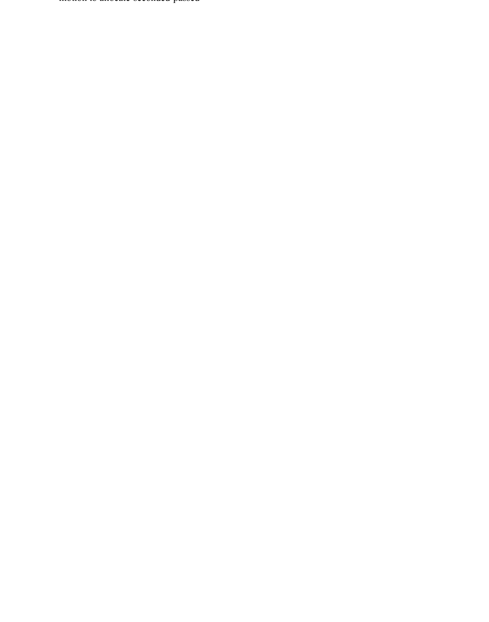motion to allocate-seconded-passed